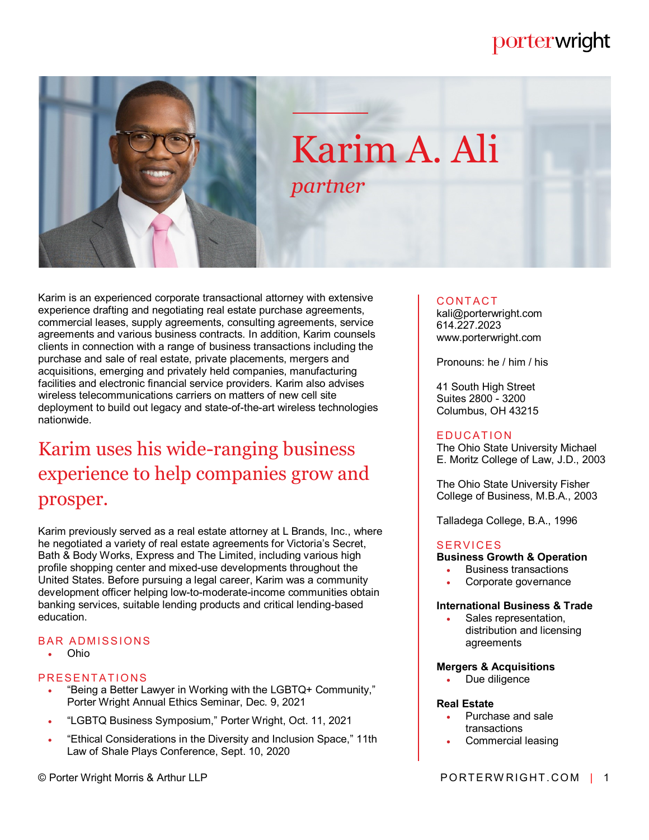# porterwright



# Karim A. Ali *partner*

Karim is an experienced corporate transactional attorney with extensive experience drafting and negotiating real estate purchase agreements, commercial leases, supply agreements, consulting agreements, service agreements and various business contracts. In addition, Karim counsels clients in connection with a range of business transactions including the purchase and sale of real estate, private placements, mergers and acquisitions, emerging and privately held companies, manufacturing facilities and electronic financial service providers. Karim also advises wireless telecommunications carriers on matters of new cell site deployment to build out legacy and state-of-the-art wireless technologies nationwide.

# Karim uses his wide-ranging business experience to help companies grow and prosper.

Karim previously served as a real estate attorney at L Brands, Inc., where he negotiated a variety of real estate agreements for Victoria's Secret, Bath & Body Works, Express and The Limited, including various high profile shopping center and mixed-use developments throughout the United States. Before pursuing a legal career, Karim was a community development officer helping low-to-moderate-income communities obtain banking services, suitable lending products and critical lending-based education.

## **BAR ADMISSIONS**

Ohio

## PRESENTATIONS

- "Being a Better Lawyer in Working with the LGBTQ+ Community," Porter Wright Annual Ethics Seminar, Dec. 9, 2021
- "LGBTQ Business Symposium," Porter Wright, Oct. 11, 2021
- "Ethical Considerations in the Diversity and Inclusion Space," 11th Law of Shale Plays Conference, Sept. 10, 2020

## **CONTACT**

kali@porterwright.com 614.227.2023 www.porterwright.com

Pronouns: he / him / his

41 South High Street Suites 2800 - 3200 Columbus, OH 43215

#### **EDUCATION**

The Ohio State University Michael E. Moritz College of Law, J.D., 2003

The Ohio State University Fisher College of Business, M.B.A., 2003

Talladega College, B.A., 1996

#### **SERVICES**

#### **Business Growth & Operation**

- Business transactions
- Corporate governance

#### **International Business & Trade**

 Sales representation, distribution and licensing agreements

#### **Mergers & Acquisitions**

Due diligence

#### **Real Estate**

- Purchase and sale transactions
- Commercial leasing